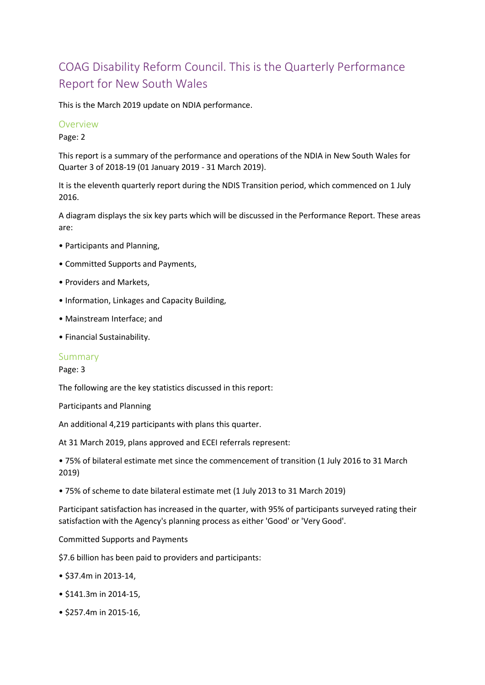# COAG Disability Reform Council. This is the Quarterly Performance Report for New South Wales

This is the March 2019 update on NDIA performance.

### Overview

Page: 2

This report is a summary of the performance and operations of the NDIA in New South Wales for Quarter 3 of 2018-19 (01 January 2019 - 31 March 2019).

It is the eleventh quarterly report during the NDIS Transition period, which commenced on 1 July 2016.

A diagram displays the six key parts which will be discussed in the Performance Report. These areas are:

- Participants and Planning,
- Committed Supports and Payments,
- Providers and Markets,
- Information, Linkages and Capacity Building,
- Mainstream Interface; and
- Financial Sustainability.

## Summary

### Page: 3

The following are the key statistics discussed in this report:

Participants and Planning

An additional 4,219 participants with plans this quarter.

At 31 March 2019, plans approved and ECEI referrals represent:

• 75% of bilateral estimate met since the commencement of transition (1 July 2016 to 31 March 2019)

• 75% of scheme to date bilateral estimate met (1 July 2013 to 31 March 2019)

Participant satisfaction has increased in the quarter, with 95% of participants surveyed rating their satisfaction with the Agency's planning process as either 'Good' or 'Very Good'.

### Committed Supports and Payments

\$7.6 billion has been paid to providers and participants:

- \$37.4m in 2013-14,
- \$141.3m in 2014-15,
- \$257.4m in 2015-16,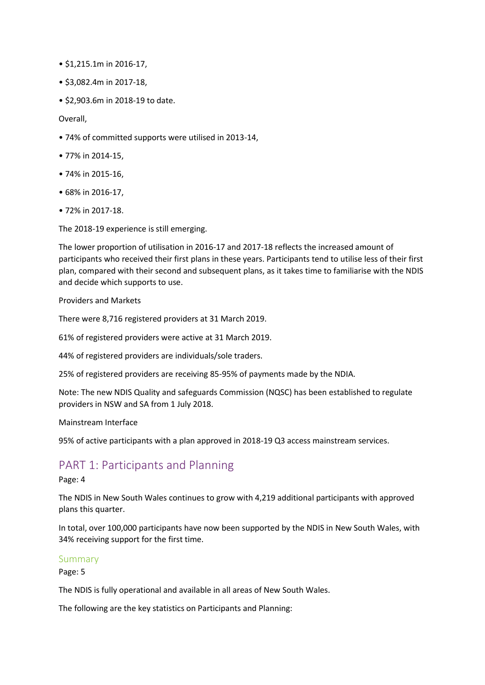- \$1,215.1m in 2016-17,
- \$3,082.4m in 2017-18,
- \$2,903.6m in 2018-19 to date.

Overall,

- 74% of committed supports were utilised in 2013-14,
- 77% in 2014-15,
- 74% in 2015-16,
- 68% in 2016-17,
- 72% in 2017-18.

The 2018-19 experience is still emerging.

The lower proportion of utilisation in 2016-17 and 2017-18 reflects the increased amount of participants who received their first plans in these years. Participants tend to utilise less of their first plan, compared with their second and subsequent plans, as it takes time to familiarise with the NDIS and decide which supports to use.

Providers and Markets

There were 8,716 registered providers at 31 March 2019.

61% of registered providers were active at 31 March 2019.

44% of registered providers are individuals/sole traders.

25% of registered providers are receiving 85-95% of payments made by the NDIA.

Note: The new NDIS Quality and safeguards Commission (NQSC) has been established to regulate providers in NSW and SA from 1 July 2018.

Mainstream Interface

95% of active participants with a plan approved in 2018-19 Q3 access mainstream services.

# PART 1: Participants and Planning

Page: 4

The NDIS in New South Wales continues to grow with 4,219 additional participants with approved plans this quarter.

In total, over 100,000 participants have now been supported by the NDIS in New South Wales, with 34% receiving support for the first time.

### Summary

Page: 5

The NDIS is fully operational and available in all areas of New South Wales.

The following are the key statistics on Participants and Planning: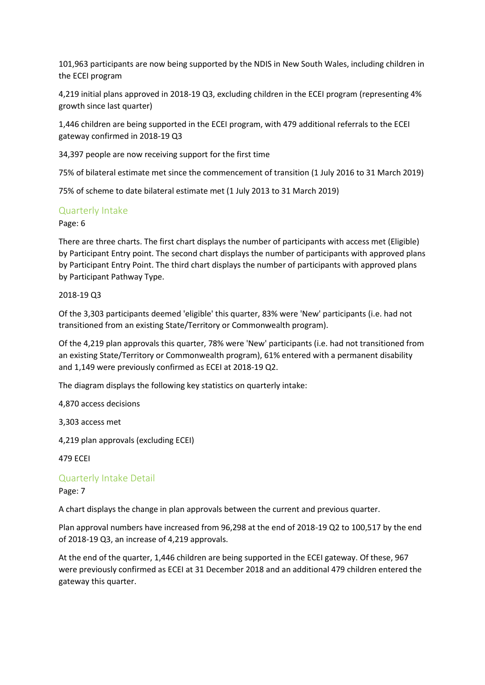101,963 participants are now being supported by the NDIS in New South Wales, including children in the ECEI program

4,219 initial plans approved in 2018-19 Q3, excluding children in the ECEI program (representing 4% growth since last quarter)

1,446 children are being supported in the ECEI program, with 479 additional referrals to the ECEI gateway confirmed in 2018-19 Q3

34,397 people are now receiving support for the first time

75% of bilateral estimate met since the commencement of transition (1 July 2016 to 31 March 2019)

75% of scheme to date bilateral estimate met (1 July 2013 to 31 March 2019)

# Quarterly Intake

Page: 6

There are three charts. The first chart displays the number of participants with access met (Eligible) by Participant Entry point. The second chart displays the number of participants with approved plans by Participant Entry Point. The third chart displays the number of participants with approved plans by Participant Pathway Type.

### 2018-19 Q3

Of the 3,303 participants deemed 'eligible' this quarter, 83% were 'New' participants (i.e. had not transitioned from an existing State/Territory or Commonwealth program).

Of the 4,219 plan approvals this quarter, 78% were 'New' participants (i.e. had not transitioned from an existing State/Territory or Commonwealth program), 61% entered with a permanent disability and 1,149 were previously confirmed as ECEI at 2018-19 Q2.

The diagram displays the following key statistics on quarterly intake:

4,870 access decisions

3,303 access met

4,219 plan approvals (excluding ECEI)

479 ECEI

Quarterly Intake Detail

Page: 7

A chart displays the change in plan approvals between the current and previous quarter.

Plan approval numbers have increased from 96,298 at the end of 2018-19 Q2 to 100,517 by the end of 2018-19 Q3, an increase of 4,219 approvals.

At the end of the quarter, 1,446 children are being supported in the ECEI gateway. Of these, 967 were previously confirmed as ECEI at 31 December 2018 and an additional 479 children entered the gateway this quarter.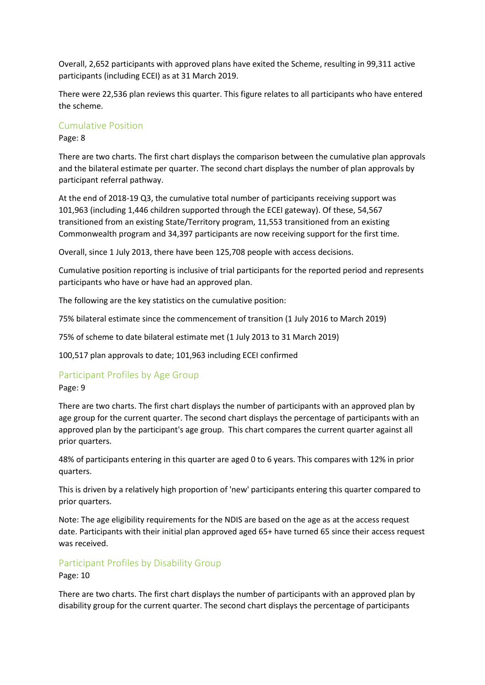Overall, 2,652 participants with approved plans have exited the Scheme, resulting in 99,311 active participants (including ECEI) as at 31 March 2019.

There were 22,536 plan reviews this quarter. This figure relates to all participants who have entered the scheme.

### Cumulative Position

Page: 8

There are two charts. The first chart displays the comparison between the cumulative plan approvals and the bilateral estimate per quarter. The second chart displays the number of plan approvals by participant referral pathway.

At the end of 2018-19 Q3, the cumulative total number of participants receiving support was 101,963 (including 1,446 children supported through the ECEI gateway). Of these, 54,567 transitioned from an existing State/Territory program, 11,553 transitioned from an existing Commonwealth program and 34,397 participants are now receiving support for the first time.

Overall, since 1 July 2013, there have been 125,708 people with access decisions.

Cumulative position reporting is inclusive of trial participants for the reported period and represents participants who have or have had an approved plan.

The following are the key statistics on the cumulative position:

75% bilateral estimate since the commencement of transition (1 July 2016 to March 2019)

75% of scheme to date bilateral estimate met (1 July 2013 to 31 March 2019)

100,517 plan approvals to date; 101,963 including ECEI confirmed

## Participant Profiles by Age Group

### Page: 9

There are two charts. The first chart displays the number of participants with an approved plan by age group for the current quarter. The second chart displays the percentage of participants with an approved plan by the participant's age group. This chart compares the current quarter against all prior quarters.

48% of participants entering in this quarter are aged 0 to 6 years. This compares with 12% in prior quarters.

This is driven by a relatively high proportion of 'new' participants entering this quarter compared to prior quarters.

Note: The age eligibility requirements for the NDIS are based on the age as at the access request date. Participants with their initial plan approved aged 65+ have turned 65 since their access request was received.

## Participant Profiles by Disability Group

Page: 10

There are two charts. The first chart displays the number of participants with an approved plan by disability group for the current quarter. The second chart displays the percentage of participants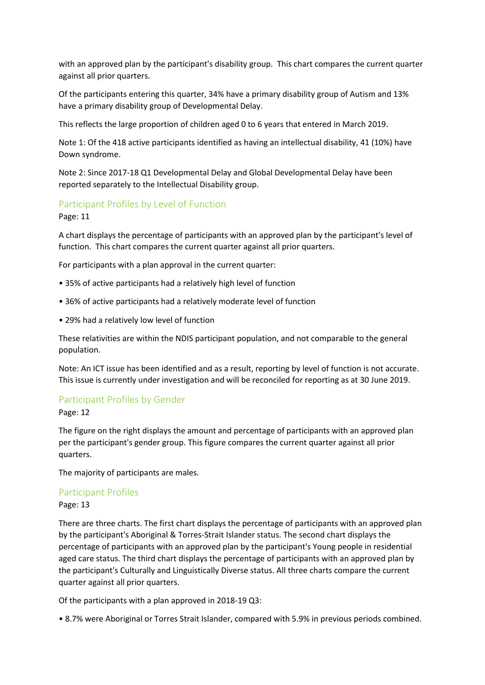with an approved plan by the participant's disability group. This chart compares the current quarter against all prior quarters.

Of the participants entering this quarter, 34% have a primary disability group of Autism and 13% have a primary disability group of Developmental Delay.

This reflects the large proportion of children aged 0 to 6 years that entered in March 2019.

Note 1: Of the 418 active participants identified as having an intellectual disability, 41 (10%) have Down syndrome.

Note 2: Since 2017-18 Q1 Developmental Delay and Global Developmental Delay have been reported separately to the Intellectual Disability group.

## Participant Profiles by Level of Function

Page: 11

A chart displays the percentage of participants with an approved plan by the participant's level of function. This chart compares the current quarter against all prior quarters.

For participants with a plan approval in the current quarter:

- 35% of active participants had a relatively high level of function
- 36% of active participants had a relatively moderate level of function
- 29% had a relatively low level of function

These relativities are within the NDIS participant population, and not comparable to the general population.

Note: An ICT issue has been identified and as a result, reporting by level of function is not accurate. This issue is currently under investigation and will be reconciled for reporting as at 30 June 2019.

### Participant Profiles by Gender

Page: 12

The figure on the right displays the amount and percentage of participants with an approved plan per the participant's gender group. This figure compares the current quarter against all prior quarters.

The majority of participants are males.

### Participant Profiles

#### Page: 13

There are three charts. The first chart displays the percentage of participants with an approved plan by the participant's Aboriginal & Torres-Strait Islander status. The second chart displays the percentage of participants with an approved plan by the participant's Young people in residential aged care status. The third chart displays the percentage of participants with an approved plan by the participant's Culturally and Linguistically Diverse status. All three charts compare the current quarter against all prior quarters.

Of the participants with a plan approved in 2018-19 Q3:

• 8.7% were Aboriginal or Torres Strait Islander, compared with 5.9% in previous periods combined.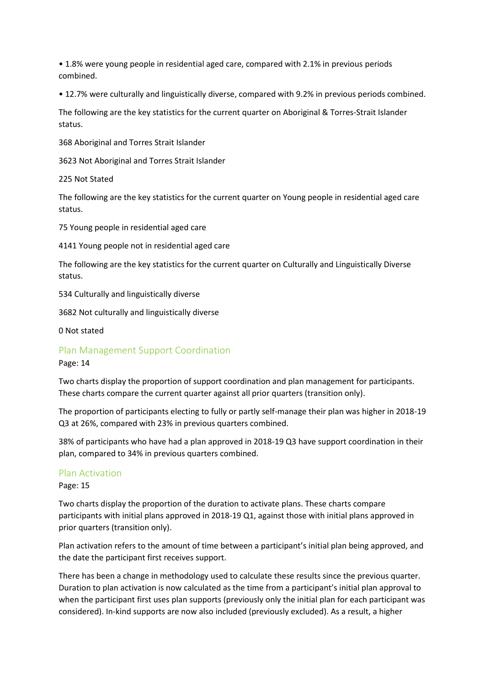• 1.8% were young people in residential aged care, compared with 2.1% in previous periods combined.

• 12.7% were culturally and linguistically diverse, compared with 9.2% in previous periods combined.

The following are the key statistics for the current quarter on Aboriginal & Torres-Strait Islander status.

368 Aboriginal and Torres Strait Islander

3623 Not Aboriginal and Torres Strait Islander

225 Not Stated

The following are the key statistics for the current quarter on Young people in residential aged care status.

75 Young people in residential aged care

4141 Young people not in residential aged care

The following are the key statistics for the current quarter on Culturally and Linguistically Diverse status.

534 Culturally and linguistically diverse

3682 Not culturally and linguistically diverse

0 Not stated

# Plan Management Support Coordination

Page: 14

Two charts display the proportion of support coordination and plan management for participants. These charts compare the current quarter against all prior quarters (transition only).

The proportion of participants electing to fully or partly self-manage their plan was higher in 2018-19 Q3 at 26%, compared with 23% in previous quarters combined.

38% of participants who have had a plan approved in 2018-19 Q3 have support coordination in their plan, compared to 34% in previous quarters combined.

## Plan Activation

Page: 15

Two charts display the proportion of the duration to activate plans. These charts compare participants with initial plans approved in 2018-19 Q1, against those with initial plans approved in prior quarters (transition only).

Plan activation refers to the amount of time between a participant's initial plan being approved, and the date the participant first receives support.

There has been a change in methodology used to calculate these results since the previous quarter. Duration to plan activation is now calculated as the time from a participant's initial plan approval to when the participant first uses plan supports (previously only the initial plan for each participant was considered). In-kind supports are now also included (previously excluded). As a result, a higher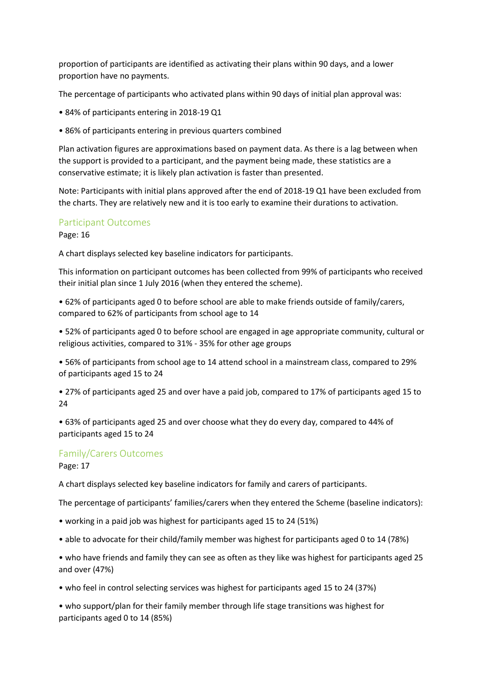proportion of participants are identified as activating their plans within 90 days, and a lower proportion have no payments.

The percentage of participants who activated plans within 90 days of initial plan approval was:

- 84% of participants entering in 2018-19 Q1
- 86% of participants entering in previous quarters combined

Plan activation figures are approximations based on payment data. As there is a lag between when the support is provided to a participant, and the payment being made, these statistics are a conservative estimate; it is likely plan activation is faster than presented.

Note: Participants with initial plans approved after the end of 2018-19 Q1 have been excluded from the charts. They are relatively new and it is too early to examine their durations to activation.

## Participant Outcomes

Page: 16

A chart displays selected key baseline indicators for participants.

This information on participant outcomes has been collected from 99% of participants who received their initial plan since 1 July 2016 (when they entered the scheme).

• 62% of participants aged 0 to before school are able to make friends outside of family/carers, compared to 62% of participants from school age to 14

• 52% of participants aged 0 to before school are engaged in age appropriate community, cultural or religious activities, compared to 31% - 35% for other age groups

• 56% of participants from school age to 14 attend school in a mainstream class, compared to 29% of participants aged 15 to 24

• 27% of participants aged 25 and over have a paid job, compared to 17% of participants aged 15 to 24

• 63% of participants aged 25 and over choose what they do every day, compared to 44% of participants aged 15 to 24

# Family/Carers Outcomes

Page: 17

A chart displays selected key baseline indicators for family and carers of participants.

The percentage of participants' families/carers when they entered the Scheme (baseline indicators):

- working in a paid job was highest for participants aged 15 to 24 (51%)
- able to advocate for their child/family member was highest for participants aged 0 to 14 (78%)
- who have friends and family they can see as often as they like was highest for participants aged 25 and over (47%)
- who feel in control selecting services was highest for participants aged 15 to 24 (37%)

• who support/plan for their family member through life stage transitions was highest for participants aged 0 to 14 (85%)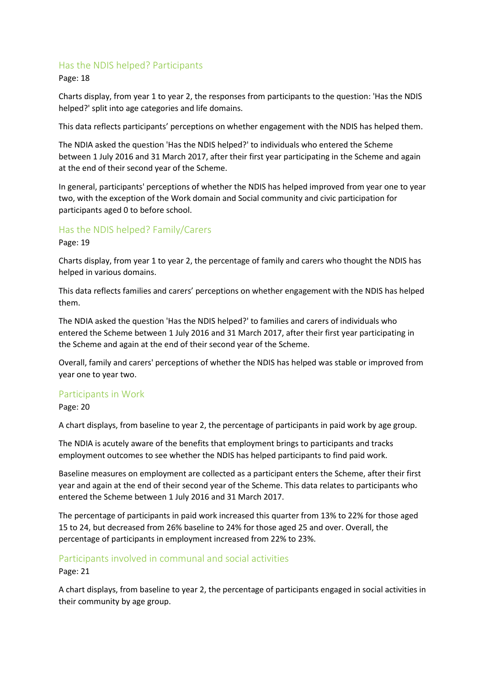# Has the NDIS helped? Participants

Page: 18

Charts display, from year 1 to year 2, the responses from participants to the question: 'Has the NDIS helped?' split into age categories and life domains.

This data reflects participants' perceptions on whether engagement with the NDIS has helped them.

The NDIA asked the question 'Has the NDIS helped?' to individuals who entered the Scheme between 1 July 2016 and 31 March 2017, after their first year participating in the Scheme and again at the end of their second year of the Scheme.

In general, participants' perceptions of whether the NDIS has helped improved from year one to year two, with the exception of the Work domain and Social community and civic participation for participants aged 0 to before school.

## Has the NDIS helped? Family/Carers

Page: 19

Charts display, from year 1 to year 2, the percentage of family and carers who thought the NDIS has helped in various domains.

This data reflects families and carers' perceptions on whether engagement with the NDIS has helped them.

The NDIA asked the question 'Has the NDIS helped?' to families and carers of individuals who entered the Scheme between 1 July 2016 and 31 March 2017, after their first year participating in the Scheme and again at the end of their second year of the Scheme.

Overall, family and carers' perceptions of whether the NDIS has helped was stable or improved from year one to year two.

# Participants in Work

Page: 20

A chart displays, from baseline to year 2, the percentage of participants in paid work by age group.

The NDIA is acutely aware of the benefits that employment brings to participants and tracks employment outcomes to see whether the NDIS has helped participants to find paid work.

Baseline measures on employment are collected as a participant enters the Scheme, after their first year and again at the end of their second year of the Scheme. This data relates to participants who entered the Scheme between 1 July 2016 and 31 March 2017.

The percentage of participants in paid work increased this quarter from 13% to 22% for those aged 15 to 24, but decreased from 26% baseline to 24% for those aged 25 and over. Overall, the percentage of participants in employment increased from 22% to 23%.

# Participants involved in communal and social activities

Page: 21

A chart displays, from baseline to year 2, the percentage of participants engaged in social activities in their community by age group.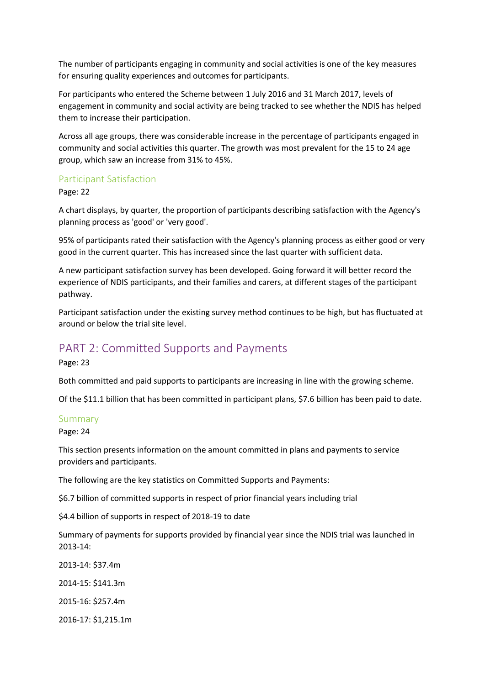The number of participants engaging in community and social activities is one of the key measures for ensuring quality experiences and outcomes for participants.

For participants who entered the Scheme between 1 July 2016 and 31 March 2017, levels of engagement in community and social activity are being tracked to see whether the NDIS has helped them to increase their participation.

Across all age groups, there was considerable increase in the percentage of participants engaged in community and social activities this quarter. The growth was most prevalent for the 15 to 24 age group, which saw an increase from 31% to 45%.

# Participant Satisfaction

Page: 22

A chart displays, by quarter, the proportion of participants describing satisfaction with the Agency's planning process as 'good' or 'very good'.

95% of participants rated their satisfaction with the Agency's planning process as either good or very good in the current quarter. This has increased since the last quarter with sufficient data.

A new participant satisfaction survey has been developed. Going forward it will better record the experience of NDIS participants, and their families and carers, at different stages of the participant pathway.

Participant satisfaction under the existing survey method continues to be high, but has fluctuated at around or below the trial site level.

# PART 2: Committed Supports and Payments

Page: 23

Both committed and paid supports to participants are increasing in line with the growing scheme.

Of the \$11.1 billion that has been committed in participant plans, \$7.6 billion has been paid to date.

### Summary

Page: 24

This section presents information on the amount committed in plans and payments to service providers and participants.

The following are the key statistics on Committed Supports and Payments:

\$6.7 billion of committed supports in respect of prior financial years including trial

\$4.4 billion of supports in respect of 2018-19 to date

Summary of payments for supports provided by financial year since the NDIS trial was launched in 2013-14:

2013-14: \$37.4m 2014-15: \$141.3m 2015-16: \$257.4m

2016-17: \$1,215.1m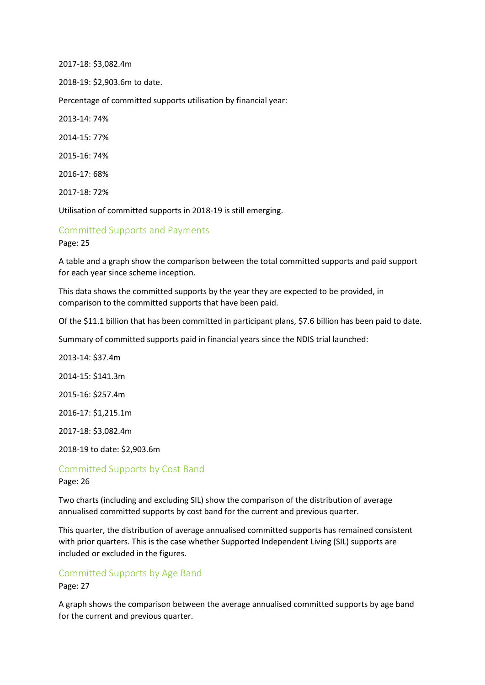2017-18: \$3,082.4m

2018-19: \$2,903.6m to date.

Percentage of committed supports utilisation by financial year:

2013-14: 74%

2014-15: 77%

2015-16: 74%

2016-17: 68%

2017-18: 72%

Utilisation of committed supports in 2018-19 is still emerging.

### Committed Supports and Payments

Page: 25

A table and a graph show the comparison between the total committed supports and paid support for each year since scheme inception.

This data shows the committed supports by the year they are expected to be provided, in comparison to the committed supports that have been paid.

Of the \$11.1 billion that has been committed in participant plans, \$7.6 billion has been paid to date.

Summary of committed supports paid in financial years since the NDIS trial launched:

2013-14: \$37.4m

2014-15: \$141.3m

2015-16: \$257.4m

2016-17: \$1,215.1m

2017-18: \$3,082.4m

2018-19 to date: \$2,903.6m

Committed Supports by Cost Band Page: 26

Two charts (including and excluding SIL) show the comparison of the distribution of average annualised committed supports by cost band for the current and previous quarter.

This quarter, the distribution of average annualised committed supports has remained consistent with prior quarters. This is the case whether Supported Independent Living (SIL) supports are included or excluded in the figures.

### Committed Supports by Age Band

Page: 27

A graph shows the comparison between the average annualised committed supports by age band for the current and previous quarter.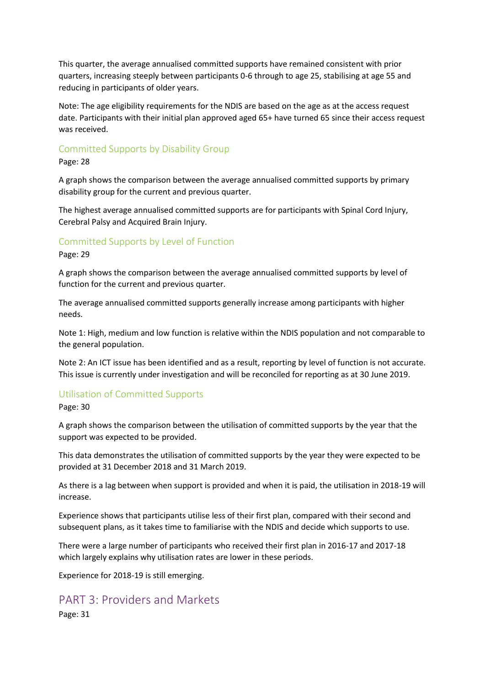This quarter, the average annualised committed supports have remained consistent with prior quarters, increasing steeply between participants 0-6 through to age 25, stabilising at age 55 and reducing in participants of older years.

Note: The age eligibility requirements for the NDIS are based on the age as at the access request date. Participants with their initial plan approved aged 65+ have turned 65 since their access request was received.

### Committed Supports by Disability Group

#### Page: 28

A graph shows the comparison between the average annualised committed supports by primary disability group for the current and previous quarter.

The highest average annualised committed supports are for participants with Spinal Cord Injury, Cerebral Palsy and Acquired Brain Injury.

### Committed Supports by Level of Function

#### Page: 29

A graph shows the comparison between the average annualised committed supports by level of function for the current and previous quarter.

The average annualised committed supports generally increase among participants with higher needs.

Note 1: High, medium and low function is relative within the NDIS population and not comparable to the general population.

Note 2: An ICT issue has been identified and as a result, reporting by level of function is not accurate. This issue is currently under investigation and will be reconciled for reporting as at 30 June 2019.

## Utilisation of Committed Supports

Page: 30

A graph shows the comparison between the utilisation of committed supports by the year that the support was expected to be provided.

This data demonstrates the utilisation of committed supports by the year they were expected to be provided at 31 December 2018 and 31 March 2019.

As there is a lag between when support is provided and when it is paid, the utilisation in 2018-19 will increase.

Experience shows that participants utilise less of their first plan, compared with their second and subsequent plans, as it takes time to familiarise with the NDIS and decide which supports to use.

There were a large number of participants who received their first plan in 2016-17 and 2017-18 which largely explains why utilisation rates are lower in these periods.

Experience for 2018-19 is still emerging.

# PART 3: Providers and Markets

Page: 31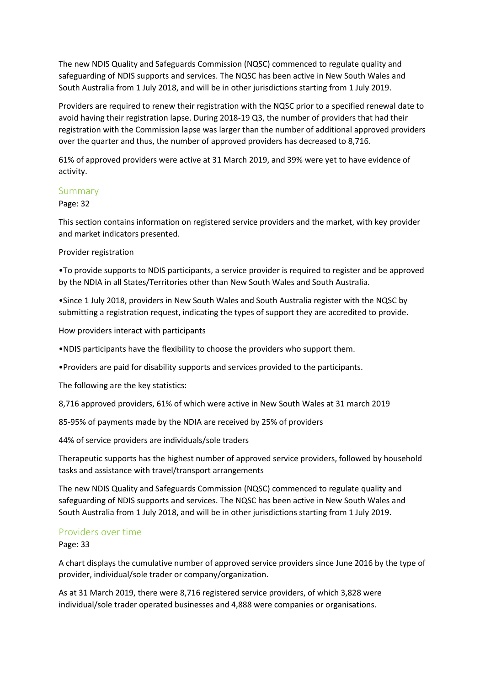The new NDIS Quality and Safeguards Commission (NQSC) commenced to regulate quality and safeguarding of NDIS supports and services. The NQSC has been active in New South Wales and South Australia from 1 July 2018, and will be in other jurisdictions starting from 1 July 2019.

Providers are required to renew their registration with the NQSC prior to a specified renewal date to avoid having their registration lapse. During 2018-19 Q3, the number of providers that had their registration with the Commission lapse was larger than the number of additional approved providers over the quarter and thus, the number of approved providers has decreased to 8,716.

61% of approved providers were active at 31 March 2019, and 39% were yet to have evidence of activity.

### Summary

### Page: 32

This section contains information on registered service providers and the market, with key provider and market indicators presented.

### Provider registration

•To provide supports to NDIS participants, a service provider is required to register and be approved by the NDIA in all States/Territories other than New South Wales and South Australia.

•Since 1 July 2018, providers in New South Wales and South Australia register with the NQSC by submitting a registration request, indicating the types of support they are accredited to provide.

How providers interact with participants

•NDIS participants have the flexibility to choose the providers who support them.

•Providers are paid for disability supports and services provided to the participants.

The following are the key statistics:

8,716 approved providers, 61% of which were active in New South Wales at 31 march 2019

85-95% of payments made by the NDIA are received by 25% of providers

44% of service providers are individuals/sole traders

Therapeutic supports has the highest number of approved service providers, followed by household tasks and assistance with travel/transport arrangements

The new NDIS Quality and Safeguards Commission (NQSC) commenced to regulate quality and safeguarding of NDIS supports and services. The NQSC has been active in New South Wales and South Australia from 1 July 2018, and will be in other jurisdictions starting from 1 July 2019.

## Providers over time

Page: 33

A chart displays the cumulative number of approved service providers since June 2016 by the type of provider, individual/sole trader or company/organization.

As at 31 March 2019, there were 8,716 registered service providers, of which 3,828 were individual/sole trader operated businesses and 4,888 were companies or organisations.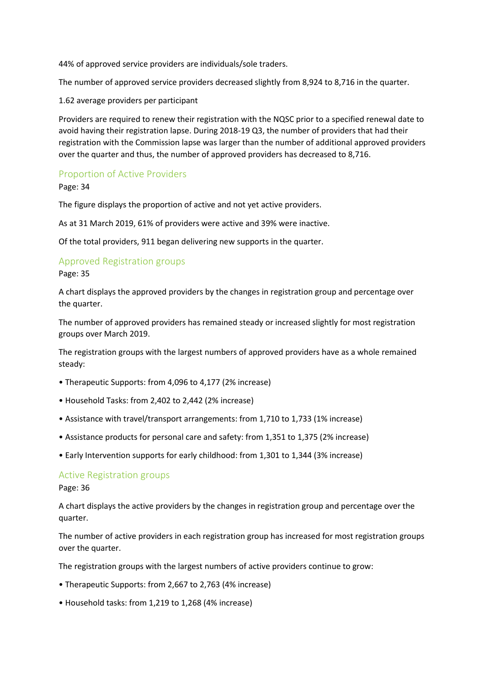44% of approved service providers are individuals/sole traders.

The number of approved service providers decreased slightly from 8,924 to 8,716 in the quarter.

1.62 average providers per participant

Providers are required to renew their registration with the NQSC prior to a specified renewal date to avoid having their registration lapse. During 2018-19 Q3, the number of providers that had their registration with the Commission lapse was larger than the number of additional approved providers over the quarter and thus, the number of approved providers has decreased to 8,716.

# Proportion of Active Providers

Page: 34

The figure displays the proportion of active and not yet active providers.

As at 31 March 2019, 61% of providers were active and 39% were inactive.

Of the total providers, 911 began delivering new supports in the quarter.

## Approved Registration groups

Page: 35

A chart displays the approved providers by the changes in registration group and percentage over the quarter.

The number of approved providers has remained steady or increased slightly for most registration groups over March 2019.

The registration groups with the largest numbers of approved providers have as a whole remained steady:

- Therapeutic Supports: from 4,096 to 4,177 (2% increase)
- Household Tasks: from 2,402 to 2,442 (2% increase)
- Assistance with travel/transport arrangements: from 1,710 to 1,733 (1% increase)
- Assistance products for personal care and safety: from 1,351 to 1,375 (2% increase)
- Early Intervention supports for early childhood: from 1,301 to 1,344 (3% increase)

### Active Registration groups

Page: 36

A chart displays the active providers by the changes in registration group and percentage over the quarter.

The number of active providers in each registration group has increased for most registration groups over the quarter.

The registration groups with the largest numbers of active providers continue to grow:

- Therapeutic Supports: from 2,667 to 2,763 (4% increase)
- Household tasks: from 1,219 to 1,268 (4% increase)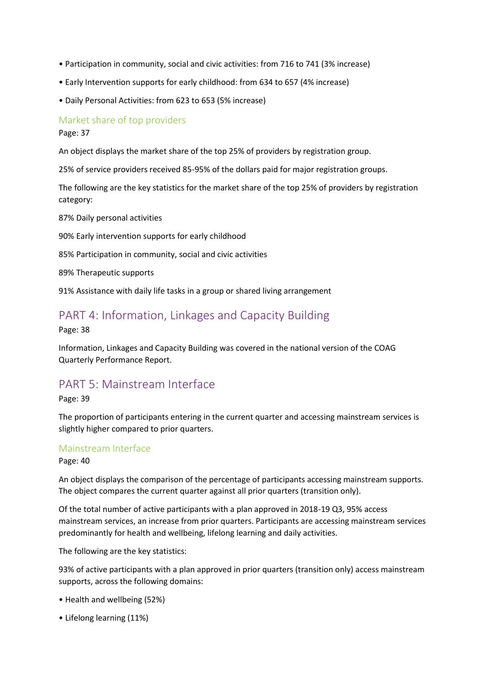- Participation in community, social and civic activities: from 716 to 741 (3% increase)
- Early Intervention supports for early childhood: from 634 to 657 (4% increase)
- Daily Personal Activities: from 623 to 653 (5% increase)

# Market share of top providers

Page: 37

An object displays the market share of the top 25% of providers by registration group.

25% of service providers received 85-95% of the dollars paid for major registration groups.

The following are the key statistics for the market share of the top 25% of providers by registration category:

87% Daily personal activities

90% Early intervention supports for early childhood

85% Participation in community, social and civic activities

89% Therapeutic supports

91% Assistance with daily life tasks in a group or shared living arrangement

# PART 4: Information, Linkages and Capacity Building

Page: 38

Information, Linkages and Capacity Building was covered in the national version of the COAG Quarterly Performance Report.

# PART 5: Mainstream Interface

Page: 39

The proportion of participants entering in the current quarter and accessing mainstream services is slightly higher compared to prior quarters.

## Mainstream Interface

Page: 40

An object displays the comparison of the percentage of participants accessing mainstream supports. The object compares the current quarter against all prior quarters (transition only).

Of the total number of active participants with a plan approved in 2018-19 Q3, 95% access mainstream services, an increase from prior quarters. Participants are accessing mainstream services predominantly for health and wellbeing, lifelong learning and daily activities.

The following are the key statistics:

93% of active participants with a plan approved in prior quarters (transition only) access mainstream supports, across the following domains:

- Health and wellbeing (52%)
- Lifelong learning (11%)